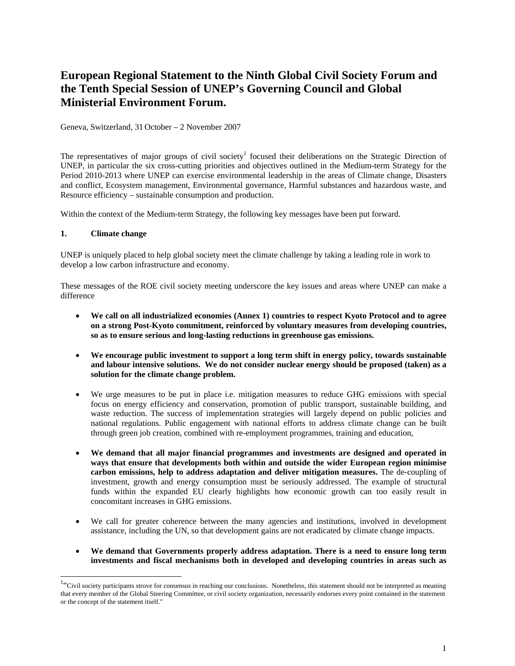# **European Regional Statement to the Ninth Global Civil Society Forum and the Tenth Special Session of UNEP's Governing Council and Global Ministerial Environment Forum.**

Geneva, Switzerland, 31 October – 2 November 2007

The representatives of major groups of civil society<sup>[1](#page-0-0)</sup> focused their deliberations on the Strategic Direction of UNEP, in particular the six cross-cutting priorities and objectives outlined in the Medium-term Strategy for the Period 2010-2013 where UNEP can exercise environmental leadership in the areas of Climate change, Disasters and conflict, Ecosystem management, Environmental governance, Harmful substances and hazardous waste, and Resource efficiency – sustainable consumption and production.

Within the context of the Medium-term Strategy, the following key messages have been put forward.

#### **1. Climate change**

UNEP is uniquely placed to help global society meet the climate challenge by taking a leading role in work to develop a low carbon infrastructure and economy.

These messages of the ROE civil society meeting underscore the key issues and areas where UNEP can make a difference

- **We call on all industrialized economies (Annex 1) countries to respect Kyoto Protocol and to agree on a strong Post-Kyoto commitment, reinforced by voluntary measures from developing countries, so as to ensure serious and long-lasting reductions in greenhouse gas emissions.**
- **We encourage public investment to support a long term shift in energy policy, towards sustainable and labour intensive solutions. We do not consider nuclear energy should be proposed (taken) as a solution for the climate change problem.**
- We urge measures to be put in place i.e. mitigation measures to reduce GHG emissions with special focus on energy efficiency and conservation, promotion of public transport, sustainable building, and waste reduction. The success of implementation strategies will largely depend on public policies and national regulations. Public engagement with national efforts to address climate change can be built through green job creation, combined with re-employment programmes, training and education,
- **We demand that all major financial programmes and investments are designed and operated in ways that ensure that developments both within and outside the wider European region minimise carbon emissions, help to address adaptation and deliver mitigation measures.** The de-coupling of investment, growth and energy consumption must be seriously addressed. The example of structural funds within the expanded EU clearly highlights how economic growth can too easily result in concomitant increases in GHG emissions.
- We call for greater coherence between the many agencies and institutions, involved in development assistance, including the UN, so that development gains are not eradicated by climate change impacts.
- **We demand that Governments properly address adaptation. There is a need to ensure long term investments and fiscal mechanisms both in developed and developing countries in areas such as**

<span id="page-0-0"></span> $\frac{1}{1}$ <sup>1.</sup> Civil society participants strove for consensus in reaching our conclusions. Nonetheless, this statement should not be interpreted as meaning that every member of the Global Steering Committee, or civil society organization, necessarily endorses every point contained in the statement or the concept of the statement itself."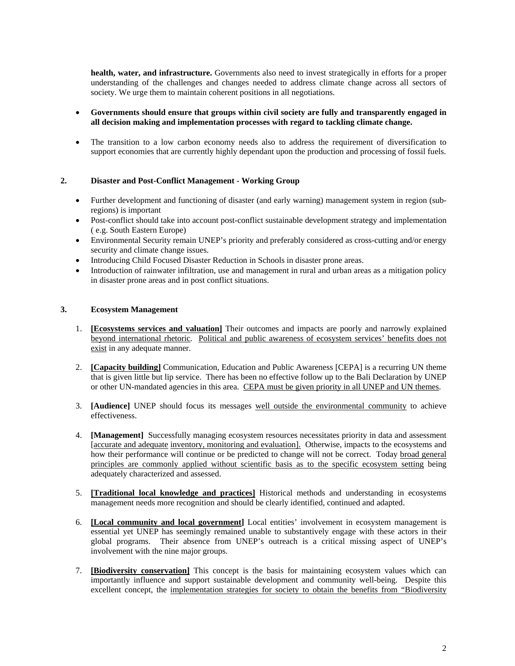**health, water, and infrastructure.** Governments also need to invest strategically in efforts for a proper understanding of the challenges and changes needed to address climate change across all sectors of society. We urge them to maintain coherent positions in all negotiations.

## • **Governments should ensure that groups within civil society are fully and transparently engaged in all decision making and implementation processes with regard to tackling climate change.**

• The transition to a low carbon economy needs also to address the requirement of diversification to support economies that are currently highly dependant upon the production and processing of fossil fuels.

## **2. Disaster and Post-Conflict Management - Working Group**

- Further development and functioning of disaster (and early warning) management system in region (subregions) is important
- Post-conflict should take into account post-conflict sustainable development strategy and implementation ( e.g. South Eastern Europe)
- Environmental Security remain UNEP's priority and preferably considered as cross-cutting and/or energy security and climate change issues.
- Introducing Child Focused Disaster Reduction in Schools in disaster prone areas.
- Introduction of rainwater infiltration, use and management in rural and urban areas as a mitigation policy in disaster prone areas and in post conflict situations.

## **3. Ecosystem Management**

- 1. **[Ecosystems services and valuation]** Their outcomes and impacts are poorly and narrowly explained beyond international rhetoric. Political and public awareness of ecosystem services' benefits does not exist in any adequate manner.
- 2. **[Capacity building]** Communication, Education and Public Awareness [CEPA] is a recurring UN theme that is given little but lip service. There has been no effective follow up to the Bali Declaration by UNEP or other UN-mandated agencies in this area. CEPA must be given priority in all UNEP and UN themes.
- 3. **[Audience]** UNEP should focus its messages well outside the environmental community to achieve effectiveness.
- 4. **[Management]** Successfully managing ecosystem resources necessitates priority in data and assessment [accurate and adequate inventory, monitoring and evaluation]. Otherwise, impacts to the ecosystems and how their performance will continue or be predicted to change will not be correct. Today broad general principles are commonly applied without scientific basis as to the specific ecosystem setting being adequately characterized and assessed.
- 5. **[Traditional local knowledge and practices]** Historical methods and understanding in ecosystems management needs more recognition and should be clearly identified, continued and adapted.
- 6. **[Local community and local government]** Local entities' involvement in ecosystem management is essential yet UNEP has seemingly remained unable to substantively engage with these actors in their global programs. Their absence from UNEP's outreach is a critical missing aspect of UNEP's involvement with the nine major groups.
- 7. **[Biodiversity conservation]** This concept is the basis for maintaining ecosystem values which can importantly influence and support sustainable development and community well-being. Despite this excellent concept, the implementation strategies for society to obtain the benefits from "Biodiversity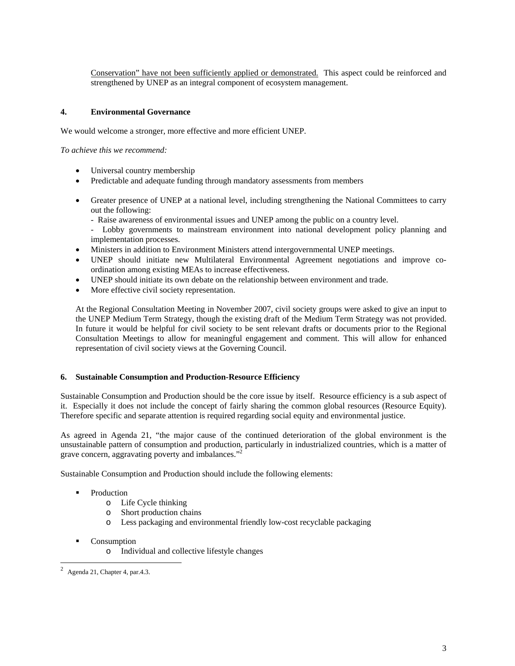Conservation" have not been sufficiently applied or demonstrated. This aspect could be reinforced and strengthened by UNEP as an integral component of ecosystem management.

## **4. Environmental Governance**

We would welcome a stronger, more effective and more efficient UNEP.

*To achieve this we recommend:* 

- Universal country membership
- Predictable and adequate funding through mandatory assessments from members
- Greater presence of UNEP at a national level, including strengthening the National Committees to carry out the following:
	- Raise awareness of environmental issues and UNEP among the public on a country level.
	- Lobby governments to mainstream environment into national development policy planning and implementation processes.
- Ministers in addition to Environment Ministers attend intergovernmental UNEP meetings.
- UNEP should initiate new Multilateral Environmental Agreement negotiations and improve coordination among existing MEAs to increase effectiveness.
- UNEP should initiate its own debate on the relationship between environment and trade.
- More effective civil society representation.

At the Regional Consultation Meeting in November 2007, civil society groups were asked to give an input to the UNEP Medium Term Strategy, though the existing draft of the Medium Term Strategy was not provided. In future it would be helpful for civil society to be sent relevant drafts or documents prior to the Regional Consultation Meetings to allow for meaningful engagement and comment. This will allow for enhanced representation of civil society views at the Governing Council.

#### **6. Sustainable Consumption and Production-Resource Efficiency**

Sustainable Consumption and Production should be the core issue by itself. Resource efficiency is a sub aspect of it. Especially it does not include the concept of fairly sharing the common global resources (Resource Equity). Therefore specific and separate attention is required regarding social equity and environmental justice.

As agreed in Agenda 21, "the major cause of the continued deterioration of the global environment is the unsustainable pattern of consumption and production, particularly in industrialized countries, which is a matter of grave concern, aggravating poverty and imbalances."<sup>2</sup>

Sustainable Consumption and Production should include the following elements:

- Production
	- o Life Cycle thinking
	- o Short production chains
	- o Less packaging and environmental friendly low-cost recyclable packaging
- Consumption
	- o Individual and collective lifestyle changes

<span id="page-2-0"></span> $\frac{1}{2}$ Agenda 21, Chapter 4, par.4.3.